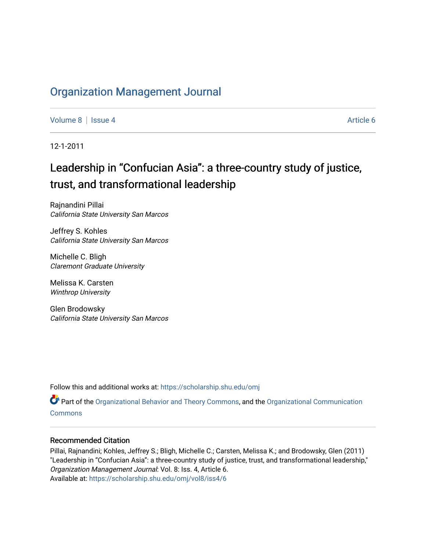## [Organization Management Journal](https://scholarship.shu.edu/omj)

[Volume 8](https://scholarship.shu.edu/omj/vol8) | [Issue 4](https://scholarship.shu.edu/omj/vol8/iss4) Article 6

12-1-2011

# Leadership in "Confucian Asia": a three-country study of justice, trust, and transformational leadership

Rajnandini Pillai California State University San Marcos

Jeffrey S. Kohles California State University San Marcos

Michelle C. Bligh Claremont Graduate University

Melissa K. Carsten Winthrop University

Glen Brodowsky California State University San Marcos

Follow this and additional works at: [https://scholarship.shu.edu/omj](https://scholarship.shu.edu/omj?utm_source=scholarship.shu.edu%2Fomj%2Fvol8%2Fiss4%2F6&utm_medium=PDF&utm_campaign=PDFCoverPages) 

Part of the [Organizational Behavior and Theory Commons,](http://network.bepress.com/hgg/discipline/639?utm_source=scholarship.shu.edu%2Fomj%2Fvol8%2Fiss4%2F6&utm_medium=PDF&utm_campaign=PDFCoverPages) and the [Organizational Communication](http://network.bepress.com/hgg/discipline/335?utm_source=scholarship.shu.edu%2Fomj%2Fvol8%2Fiss4%2F6&utm_medium=PDF&utm_campaign=PDFCoverPages) [Commons](http://network.bepress.com/hgg/discipline/335?utm_source=scholarship.shu.edu%2Fomj%2Fvol8%2Fiss4%2F6&utm_medium=PDF&utm_campaign=PDFCoverPages)

## Recommended Citation

Pillai, Rajnandini; Kohles, Jeffrey S.; Bligh, Michelle C.; Carsten, Melissa K.; and Brodowsky, Glen (2011) "Leadership in "Confucian Asia": a three-country study of justice, trust, and transformational leadership," Organization Management Journal: Vol. 8: Iss. 4, Article 6. Available at: [https://scholarship.shu.edu/omj/vol8/iss4/6](https://scholarship.shu.edu/omj/vol8/iss4/6?utm_source=scholarship.shu.edu%2Fomj%2Fvol8%2Fiss4%2F6&utm_medium=PDF&utm_campaign=PDFCoverPages)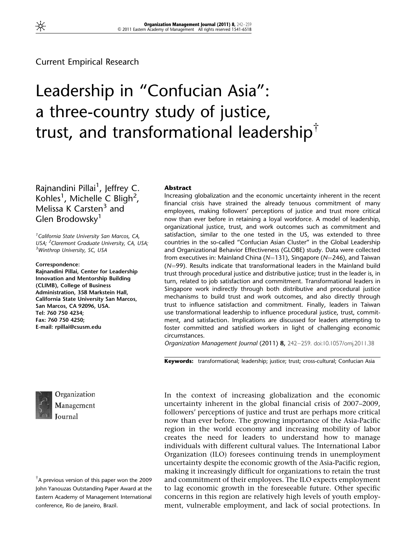## Current Empirical Research

# Leadership in "Confucian Asia": a three-country study of justice, trust, and transformational leadership<sup> $\dagger$ </sup>

Rajnandini Pillai<sup>1</sup>, Jeffrey C. Kohles<sup>1</sup>, Michelle C Bligh<sup>2</sup>, Melissa K Carsten<sup>3</sup> and Glen Brodowsky<sup>1</sup>

<sup>1</sup> California State University San Marcos, CA, USA; <sup>2</sup> Claremont Graduate University, CA, USA;<br><sup>3</sup> Winthrop University, SC, USA <sup>3</sup>Winthrop University, SC, USA

Correspondence: Rajnandini Pillai, Center for Leadership Innovation and Mentorship Building (CLIMB), College of Business Administration, 358 Markstein Hall, California State University San Marcos, San Marcos, CA 92096, USA. Tel: 760 750 4234; Fax: 760 750 4250; E-mail: rpillai@csusm.edu



Organization Management Journal

'A previous version of this paper won the 2009 John Yanouzas Outstanding Paper Award at the Eastern Academy of Management International conference, Rio de Janeiro, Brazil.

#### Abstract

Increasing globalization and the economic uncertainty inherent in the recent financial crisis have strained the already tenuous commitment of many employees, making followers' perceptions of justice and trust more critical now than ever before in retaining a loyal workforce. A model of leadership, organizational justice, trust, and work outcomes such as commitment and satisfaction, similar to the one tested in the US, was extended to three countries in the so-called "Confucian Asian Cluster" in the Global Leadership and Organizational Behavior Effectiveness (GLOBE) study. Data were collected from executives in: Mainland China ( $N=131$ ), Singapore ( $N=246$ ), and Taiwan  $(N=99)$ . Results indicate that transformational leaders in the Mainland build trust through procedural justice and distributive justice; trust in the leader is, in turn, related to job satisfaction and commitment. Transformational leaders in Singapore work indirectly through both distributive and procedural justice mechanisms to build trust and work outcomes, and also directly through trust to influence satisfaction and commitment. Finally, leaders in Taiwan use transformational leadership to influence procedural justice, trust, commitment, and satisfaction. Implications are discussed for leaders attempting to foster committed and satisfied workers in light of challenging economic circumstances.

Organization Management Journal (2011) 8, 242–259. doi:10.1057/omj.2011.38

Keywords: transformational; leadership; justice; trust; cross-cultural; Confucian Asia

In the context of increasing globalization and the economic uncertainty inherent in the global financial crisis of 2007–2009, followers' perceptions of justice and trust are perhaps more critical now than ever before. The growing importance of the Asia-Pacific region in the world economy and increasing mobility of labor creates the need for leaders to understand how to manage individuals with different cultural values. The International Labor Organization (ILO) foresees continuing trends in unemployment uncertainty despite the economic growth of the Asia-Pacific region, making it increasingly difficult for organizations to retain the trust and commitment of their employees. The ILO expects employment to lag economic growth in the foreseeable future. Other specific concerns in this region are relatively high levels of youth employment, vulnerable employment, and lack of social protections. In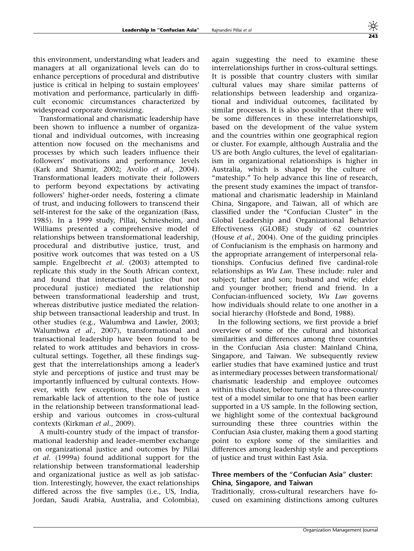this environment, understanding what leaders and managers at all organizational levels can do to enhance perceptions of procedural and distributive justice is critical in helping to sustain employees' motivation and performance, particularly in difficult economic circumstances characterized by widespread corporate downsizing.

Transformational and charismatic leadership have been shown to influence a number of organizational and individual outcomes, with increasing attention now focused on the mechanisms and processes by which such leaders influence their followers' motivations and performance levels (Kark and Shamir, 2002; Avolio et al., 2004). Transformational leaders motivate their followers to perform beyond expectations by activating followers' higher-order needs, fostering a climate of trust, and inducing followers to transcend their self-interest for the sake of the organization (Bass, 1985). In a 1999 study, Pillai, Schriesheim, and Williams presented a comprehensive model of relationships between transformational leadership, procedural and distributive justice, trust, and positive work outcomes that was tested on a US sample. Engelbrecht et al. (2003) attempted to replicate this study in the South African context, and found that interactional justice (but not procedural justice) mediated the relationship between transformational leadership and trust, whereas distributive justice mediated the relationship between transactional leadership and trust. In other studies (e.g., Walumbwa and Lawler, 2003; Walumbwa et al., 2007), transformational and transactional leadership have been found to be related to work attitudes and behaviors in crosscultural settings. Together, all these findings suggest that the interrelationships among a leader's style and perceptions of justice and trust may be importantly influenced by cultural contexts. However, with few exceptions, there has been a remarkable lack of attention to the role of justice in the relationship between transformational leadership and various outcomes in cross-cultural contexts (Kirkman et al., 2009).

A multi-country study of the impact of transformational leadership and leader–member exchange on organizational justice and outcomes by Pillai et al. (1999a) found additional support for the relationship between transformational leadership and organizational justice as well as job satisfaction. Interestingly, however, the exact relationships differed across the five samples (i.e., US, India, Jordan, Saudi Arabia, Australia, and Colombia),

again suggesting the need to examine these interrelationships further in cross-cultural settings. It is possible that country clusters with similar cultural values may share similar patterns of relationships between leadership and organizational and individual outcomes, facilitated by similar processes. It is also possible that there will be some differences in these interrelationships, based on the development of the value system and the countries within one geographical region or cluster. For example, although Australia and the US are both Anglo cultures, the level of egalitarianism in organizational relationships is higher in Australia, which is shaped by the culture of "mateship." To help advance this line of research, the present study examines the impact of transformational and charismatic leadership in Mainland China, Singapore, and Taiwan, all of which are classified under the "Confucian Cluster" in the Global Leadership and Organizational Behavior Effectiveness (GLOBE) study of 62 countries (House et al., 2004). One of the guiding principles of Confucianism is the emphasis on harmony and the appropriate arrangement of interpersonal relationships. Confucius defined five cardinal-role relationships as Wu Lun. These include: ruler and subject; father and son; husband and wife; elder and younger brother; friend and friend. In a Confucian-influenced society, Wu Lun governs how individuals should relate to one another in a social hierarchy (Hofstede and Bond, 1988).

In the following sections, we first provide a brief overview of some of the cultural and historical similarities and differences among three countries in the Confucian Asia cluster: Mainland China, Singapore, and Taiwan. We subsequently review earlier studies that have examined justice and trust as intermediary processes between transformational/ charismatic leadership and employee outcomes within this cluster, before turning to a three-country test of a model similar to one that has been earlier supported in a US sample. In the following section, we highlight some of the contextual background surrounding these three countries within the Confucian Asia cluster, making them a good starting point to explore some of the similarities and differences among leadership style and perceptions of justice and trust within East Asia.

### Three members of the "Confucian Asia" cluster: China, Singapore, and Taiwan

Traditionally, cross-cultural researchers have focused on examining distinctions among cultures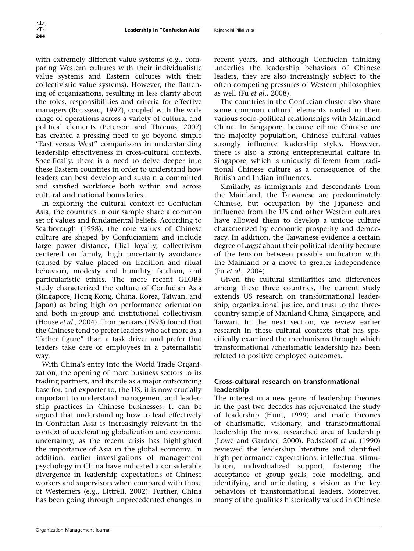with extremely different value systems (e.g., comparing Western cultures with their individualistic value systems and Eastern cultures with their collectivistic value systems). However, the flattening of organizations, resulting in less clarity about the roles, responsibilities and criteria for effective managers (Rousseau, 1997), coupled with the wide range of operations across a variety of cultural and political elements (Peterson and Thomas, 2007) has created a pressing need to go beyond simple "East versus West" comparisons in understanding leadership effectiveness in cross-cultural contexts. Specifically, there is a need to delve deeper into these Eastern countries in order to understand how leaders can best develop and sustain a committed and satisfied workforce both within and across cultural and national boundaries.

In exploring the cultural context of Confucian Asia, the countries in our sample share a common set of values and fundamental beliefs. According to Scarborough (1998), the core values of Chinese culture are shaped by Confucianism and include large power distance, filial loyalty, collectivism centered on family, high uncertainty avoidance (caused by value placed on tradition and ritual behavior), modesty and humility, fatalism, and particularistic ethics. The more recent GLOBE study characterized the culture of Confucian Asia (Singapore, Hong Kong, China, Korea, Taiwan, and Japan) as being high on performance orientation and both in-group and institutional collectivism (House et al., 2004). Trompenaars (1993) found that the Chinese tend to prefer leaders who act more as a "father figure" than a task driver and prefer that leaders take care of employees in a paternalistic way.

With China's entry into the World Trade Organization, the opening of more business sectors to its trading partners, and its role as a major outsourcing base for, and exporter to, the US, it is now crucially important to understand management and leadership practices in Chinese businesses. It can be argued that understanding how to lead effectively in Confucian Asia is increasingly relevant in the context of accelerating globalization and economic uncertainty, as the recent crisis has highlighted the importance of Asia in the global economy. In addition, earlier investigations of management psychology in China have indicated a considerable divergence in leadership expectations of Chinese workers and supervisors when compared with those of Westerners (e.g., Littrell, 2002). Further, China has been going through unprecedented changes in

The countries in the Confucian cluster also share some common cultural elements rooted in their various socio-political relationships with Mainland China. In Singapore, because ethnic Chinese are the majority population, Chinese cultural values strongly influence leadership styles. However, there is also a strong entrepreneurial culture in Singapore, which is uniquely different from traditional Chinese culture as a consequence of the British and Indian influences.

Similarly, as immigrants and descendants from the Mainland, the Taiwanese are predominately Chinese, but occupation by the Japanese and influence from the US and other Western cultures have allowed them to develop a unique culture characterized by economic prosperity and democracy. In addition, the Taiwanese evidence a certain degree of *angst* about their political identity because of the tension between possible unification with the Mainland or a move to greater independence (Fu et al., 2004).

Given the cultural similarities and differences among these three countries, the current study extends US research on transformational leadership, organizational justice, and trust to the threecountry sample of Mainland China, Singapore, and Taiwan. In the next section, we review earlier research in these cultural contexts that has specifically examined the mechanisms through which transformational /charismatic leadership has been related to positive employee outcomes.

## Cross-cultural research on transformational leadership

The interest in a new genre of leadership theories in the past two decades has rejuvenated the study of leadership (Hunt, 1999) and made theories of charismatic, visionary, and transformational leadership the most researched area of leadership (Lowe and Gardner, 2000). Podsakoff et al. (1990) reviewed the leadership literature and identified high performance expectations, intellectual stimulation, individualized support, fostering the acceptance of group goals, role modeling, and identifying and articulating a vision as the key behaviors of transformational leaders. Moreover, many of the qualities historically valued in Chinese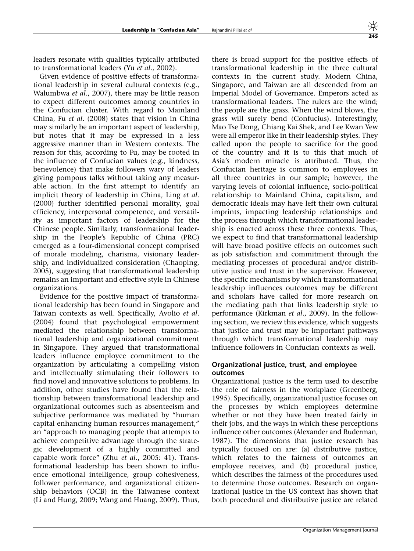leaders resonate with qualities typically attributed to transformational leaders (Yu et al., 2002).

Given evidence of positive effects of transformational leadership in several cultural contexts (e.g., Walumbwa et al., 2007), there may be little reason to expect different outcomes among countries in the Confucian cluster. With regard to Mainland China, Fu et al. (2008) states that vision in China may similarly be an important aspect of leadership, but notes that it may be expressed in a less aggressive manner than in Western contexts. The reason for this, according to Fu, may be rooted in the influence of Confucian values (e.g., kindness, benevolence) that make followers wary of leaders giving pompous talks without taking any measurable action. In the first attempt to identify an implicit theory of leadership in China, Ling et al. (2000) further identified personal morality, goal efficiency, interpersonal competence, and versatility as important factors of leadership for the Chinese people. Similarly, transformational leadership in the People's Republic of China (PRC) emerged as a four-dimensional concept comprised of morale modeling, charisma, visionary leadership, and individualized consideration (Chaoping, 2005), suggesting that transformational leadership remains an important and effective style in Chinese organizations.

Evidence for the positive impact of transformational leadership has been found in Singapore and Taiwan contexts as well. Specifically, Avolio et al. (2004) found that psychological empowerment mediated the relationship between transformational leadership and organizational commitment in Singapore. They argued that transformational leaders influence employee commitment to the organization by articulating a compelling vision and intellectually stimulating their followers to find novel and innovative solutions to problems. In addition, other studies have found that the relationship between transformational leadership and organizational outcomes such as absenteeism and subjective performance was mediated by "human capital enhancing human resources management," an "approach to managing people that attempts to achieve competitive advantage through the strategic development of a highly committed and capable work force" (Zhu et al., 2005: 41). Transformational leadership has been shown to influence emotional intelligence, group cohesiveness, follower performance, and organizational citizenship behaviors (OCB) in the Taiwanese context (Li and Hung, 2009; Wang and Huang, 2009). Thus, there is broad support for the positive effects of transformational leadership in the three cultural contexts in the current study. Modern China, Singapore, and Taiwan are all descended from an Imperial Model of Governance. Emperors acted as transformational leaders. The rulers are the wind; the people are the grass. When the wind blows, the grass will surely bend (Confucius). Interestingly, Mao Tse Dong, Chiang Kai Shek, and Lee Kwan Yew were all emperor like in their leadership styles. They called upon the people to sacrifice for the good of the country and it is to this that much of Asia's modern miracle is attributed. Thus, the Confucian heritage is common to employees in all three countries in our sample; however, the varying levels of colonial influence, socio-political relationship to Mainland China, capitalism, and democratic ideals may have left their own cultural imprints, impacting leadership relationships and the process through which transformational leadership is enacted across these three contexts. Thus, we expect to find that transformational leadership will have broad positive effects on outcomes such as job satisfaction and commitment through the mediating processes of procedural and/or distributive justice and trust in the supervisor. However, the specific mechanisms by which transformational leadership influences outcomes may be different and scholars have called for more research on the mediating path that links leadership style to performance (Kirkman et al., 2009). In the following section, we review this evidence, which suggests that justice and trust may be important pathways through which transformational leadership may influence followers in Confucian contexts as well.

#### Organizational justice, trust, and employee outcomes

Organizational justice is the term used to describe the role of fairness in the workplace (Greenberg, 1995). Specifically, organizational justice focuses on the processes by which employees determine whether or not they have been treated fairly in their jobs, and the ways in which these perceptions influence other outcomes (Alexander and Ruderman, 1987). The dimensions that justice research has typically focused on are: (a) distributive justice, which relates to the fairness of outcomes an employee receives, and (b) procedural justice, which describes the fairness of the procedures used to determine those outcomes. Research on organizational justice in the US context has shown that both procedural and distributive justice are related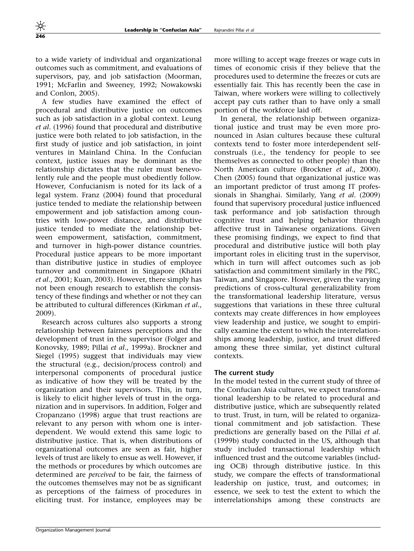to a wide variety of individual and organizational outcomes such as commitment, and evaluations of supervisors, pay, and job satisfaction (Moorman, 1991; McFarlin and Sweeney, 1992; Nowakowski and Conlon, 2005).

A few studies have examined the effect of procedural and distributive justice on outcomes such as job satisfaction in a global context. Leung et al. (1996) found that procedural and distributive justice were both related to job satisfaction, in the first study of justice and job satisfaction, in joint ventures in Mainland China. In the Confucian context, justice issues may be dominant as the relationship dictates that the ruler must benevolently rule and the people must obediently follow. However, Confucianism is noted for its lack of a legal system. Franz (2004) found that procedural justice tended to mediate the relationship between empowerment and job satisfaction among countries with low-power distance, and distributive justice tended to mediate the relationship between empowerment, satisfaction, commitment, and turnover in high-power distance countries. Procedural justice appears to be more important than distributive justice in studies of employee turnover and commitment in Singapore (Khatri et al., 2001; Kuan, 2003). However, there simply has not been enough research to establish the consistency of these findings and whether or not they can be attributed to cultural differences (Kirkman et al., 2009).

Research across cultures also supports a strong relationship between fairness perceptions and the development of trust in the supervisor (Folger and Konovsky, 1989; Pillai et al., 1999a). Brockner and Siegel (1995) suggest that individuals may view the structural (e.g., decision/process control) and interpersonal components of procedural justice as indicative of how they will be treated by the organization and their supervisors. This, in turn, is likely to elicit higher levels of trust in the organization and in supervisors. In addition, Folger and Cropanzano (1998) argue that trust reactions are relevant to any person with whom one is interdependent. We would extend this same logic to distributive justice. That is, when distributions of organizational outcomes are seen as fair, higher levels of trust are likely to ensue as well. However, if the methods or procedures by which outcomes are determined are perceived to be fair, the fairness of the outcomes themselves may not be as significant as perceptions of the fairness of procedures in eliciting trust. For instance, employees may be

more willing to accept wage freezes or wage cuts in times of economic crisis if they believe that the procedures used to determine the freezes or cuts are essentially fair. This has recently been the case in Taiwan, where workers were willing to collectively accept pay cuts rather than to have only a small portion of the workforce laid off.

In general, the relationship between organizational justice and trust may be even more pronounced in Asian cultures because these cultural contexts tend to foster more interdependent selfconstruals (i.e., the tendency for people to see themselves as connected to other people) than the North American culture (Brockner et al., 2000). Chen (2005) found that organizational justice was an important predictor of trust among IT professionals in Shanghai. Similarly, Yang et al. (2009) found that supervisory procedural justice influenced task performance and job satisfaction through cognitive trust and helping behavior through affective trust in Taiwanese organizations. Given these promising findings, we expect to find that procedural and distributive justice will both play important roles in eliciting trust in the supervisor, which in turn will affect outcomes such as job satisfaction and commitment similarly in the PRC, Taiwan, and Singapore. However, given the varying predictions of cross-cultural generalizability from the transformational leadership literature, versus suggestions that variations in these three cultural contexts may create differences in how employees view leadership and justice, we sought to empirically examine the extent to which the interrelationships among leadership, justice, and trust differed among these three similar, yet distinct cultural contexts.

#### The current study

In the model tested in the current study of three of the Confucian Asia cultures, we expect transformational leadership to be related to procedural and distributive justice, which are subsequently related to trust. Trust, in turn, will be related to organizational commitment and job satisfaction. These predictions are generally based on the Pillai et al. (1999b) study conducted in the US, although that study included transactional leadership which influenced trust and the outcome variables (including OCB) through distributive justice. In this study, we compare the effects of transformational leadership on justice, trust, and outcomes; in essence, we seek to test the extent to which the interrelationships among these constructs are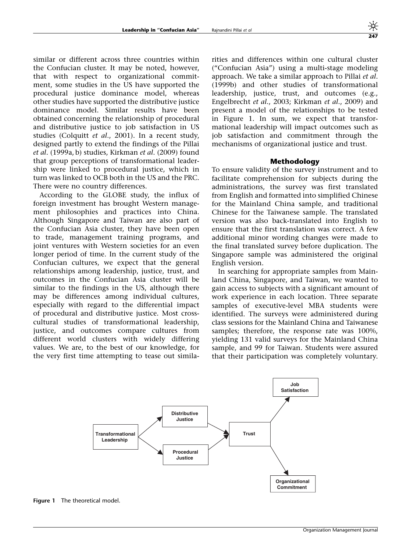similar or different across three countries within the Confucian cluster. It may be noted, however, that with respect to organizational commitment, some studies in the US have supported the procedural justice dominance model, whereas other studies have supported the distributive justice dominance model. Similar results have been obtained concerning the relationship of procedural and distributive justice to job satisfaction in US studies (Colquitt et al., 2001). In a recent study, designed partly to extend the findings of the Pillai et al. (1999a, b) studies, Kirkman et al. (2009) found that group perceptions of transformational leadership were linked to procedural justice, which in turn was linked to OCB both in the US and the PRC. There were no country differences.

According to the GLOBE study, the influx of foreign investment has brought Western management philosophies and practices into China. Although Singapore and Taiwan are also part of the Confucian Asia cluster, they have been open to trade, management training programs, and joint ventures with Western societies for an even longer period of time. In the current study of the Confucian cultures, we expect that the general relationships among leadership, justice, trust, and outcomes in the Confucian Asia cluster will be similar to the findings in the US, although there may be differences among individual cultures, especially with regard to the differential impact of procedural and distributive justice. Most crosscultural studies of transformational leadership, justice, and outcomes compare cultures from different world clusters with widely differing values. We are, to the best of our knowledge, for the very first time attempting to tease out similarities and differences within one cultural cluster ("Confucian Asia") using a multi-stage modeling approach. We take a similar approach to Pillai et al. (1999b) and other studies of transformational leadership, justice, trust, and outcomes (e.g., Engelbrecht et al., 2003; Kirkman et al., 2009) and present a model of the relationships to be tested in Figure 1. In sum, we expect that transformational leadership will impact outcomes such as job satisfaction and commitment through the mechanisms of organizational justice and trust.

#### Methodology

To ensure validity of the survey instrument and to facilitate comprehension for subjects during the administrations, the survey was first translated from English and formatted into simplified Chinese for the Mainland China sample, and traditional Chinese for the Taiwanese sample. The translated version was also back-translated into English to ensure that the first translation was correct. A few additional minor wording changes were made to the final translated survey before duplication. The Singapore sample was administered the original English version.

In searching for appropriate samples from Mainland China, Singapore, and Taiwan, we wanted to gain access to subjects with a significant amount of work experience in each location. Three separate samples of executive-level MBA students were identified. The surveys were administered during class sessions for the Mainland China and Taiwanese samples; therefore, the response rate was 100%, yielding 131 valid surveys for the Mainland China sample, and 99 for Taiwan. Students were assured that their participation was completely voluntary.



Figure 1 The theoretical model.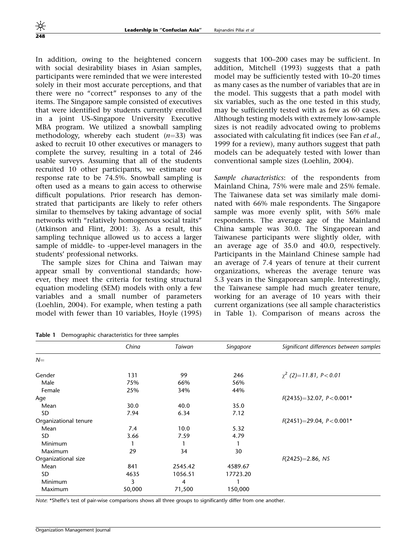In addition, owing to the heightened concern with social desirability biases in Asian samples, participants were reminded that we were interested solely in their most accurate perceptions, and that there were no "correct" responses to any of the items. The Singapore sample consisted of executives that were identified by students currently enrolled in a joint US–Singapore University Executive MBA program. We utilized a snowball sampling methodology, whereby each student  $(n=33)$  was asked to recruit 10 other executives or managers to complete the survey, resulting in a total of 246 usable surveys. Assuming that all of the students recruited 10 other participants, we estimate our response rate to be 74.5%. Snowball sampling is often used as a means to gain access to otherwise difficult populations. Prior research has demonstrated that participants are likely to refer others similar to themselves by taking advantage of social networks with "relatively homogenous social traits" (Atkinson and Flint, 2001: 3). As a result, this sampling technique allowed us to access a larger sample of middle- to -upper-level managers in the students' professional networks.

The sample sizes for China and Taiwan may appear small by conventional standards; however, they meet the criteria for testing structural equation modeling (SEM) models with only a few variables and a small number of parameters (Loehlin, 2004). For example, when testing a path model with fewer than 10 variables, Hoyle (1995) suggests that 100–200 cases may be sufficient. In addition, Mitchell (1993) suggests that a path model may be sufficiently tested with 10–20 times as many cases as the number of variables that are in the model. This suggests that a path model with six variables, such as the one tested in this study, may be sufficiently tested with as few as 60 cases. Although testing models with extremely low-sample sizes is not readily advocated owing to problems associated with calculating fit indices (see Fan et al., 1999 for a review), many authors suggest that path models can be adequately tested with lower than conventional sample sizes (Loehlin, 2004).

Sample characteristics: of the respondents from Mainland China, 75% were male and 25% female. The Taiwanese data set was similarly male dominated with 66% male respondents. The Singapore sample was more evenly split, with 56% male respondents. The average age of the Mainland China sample was 30.0. The Singaporean and Taiwanese participants were slightly older, with an average age of 35.0 and 40.0, respectively. Participants in the Mainland Chinese sample had an average of 7.4 years of tenure at their current organizations, whereas the average tenure was 5.3 years in the Singaporean sample. Interestingly, the Taiwanese sample had much greater tenure, working for an average of 10 years with their current organizations (see all sample characteristics in Table 1). Comparison of means across the

Table 1 Demographic characteristics for three samples

|                       | China  | Taiwan  | Singapore | Significant differences between samples |
|-----------------------|--------|---------|-----------|-----------------------------------------|
| $N=$                  |        |         |           |                                         |
| Gender                | 131    | 99      | 246       | $\chi^2$ (2)=11.81, P < 0.01            |
| Male                  | 75%    | 66%     | 56%       |                                         |
| Female                | 25%    | 34%     | 44%       |                                         |
| Age                   |        |         |           | $F(2435)=32.07, P<0.001*$               |
| Mean                  | 30.0   | 40.0    | 35.0      |                                         |
| SD                    | 7.94   | 6.34    | 7.12      |                                         |
| Organizational tenure |        |         |           | $F(2451)=29.04, P<0.001*$               |
| Mean                  | 7.4    | 10.0    | 5.32      |                                         |
| SD.                   | 3.66   | 7.59    | 4.79      |                                         |
| <b>Minimum</b>        |        |         |           |                                         |
| Maximum               | 29     | 34      | 30        |                                         |
| Organizational size   |        |         |           | $F(2425)=2.86, NS$                      |
| Mean                  | 841    | 2545.42 | 4589.67   |                                         |
| SD.                   | 4635   | 1056.51 | 17723.20  |                                         |
| <b>Minimum</b>        | 3      | 4       |           |                                         |
| Maximum               | 50,000 | 71,500  | 150,000   |                                         |

Note: \*Sheffe's test of pair-wise comparisons shows all three groups to significantly differ from one another.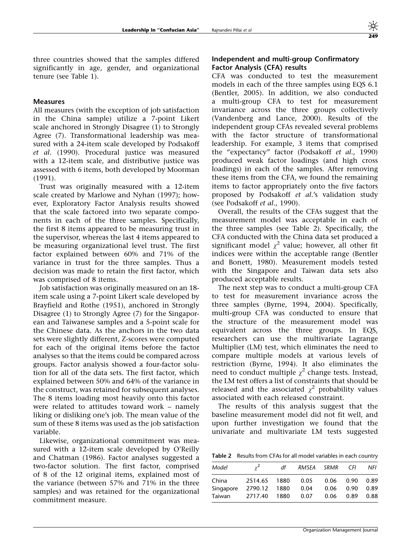three countries showed that the samples differed significantly in age, gender, and organizational tenure (see Table 1).

#### Measures

All measures (with the exception of job satisfaction in the China sample) utilize a 7-point Likert scale anchored in Strongly Disagree (1) to Strongly Agree (7). Transformational leadership was measured with a 24-item scale developed by Podsakoff et al. (1990). Procedural justice was measured with a 12-item scale, and distributive justice was assessed with 6 items, both developed by Moorman (1991).

Trust was originally measured with a 12-item scale created by Marlowe and Nyhan (1997); however, Exploratory Factor Analysis results showed that the scale factored into two separate components in each of the three samples. Specifically, the first 8 items appeared to be measuring trust in the supervisor, whereas the last 4 items appeared to be measuring organizational level trust. The first factor explained between 60% and 71% of the variance in trust for the three samples. Thus a decision was made to retain the first factor, which was comprised of 8 items.

Job satisfaction was originally measured on an 18 item scale using a 7-point Likert scale developed by Brayfield and Rothe (1951), anchored in Strongly Disagree (1) to Strongly Agree (7) for the Singaporean and Taiwanese samples and a 5-point scale for the Chinese data. As the anchors in the two data sets were slightly different, Z-scores were computed for each of the original items before the factor analyses so that the items could be compared across groups. Factor analysis showed a four-factor solution for all of the data sets. The first factor, which explained between 50% and 64% of the variance in the construct, was retained for subsequent analyses. The 8 items loading most heavily onto this factor were related to attitudes toward work – namely liking or disliking one's job. The mean value of the sum of these 8 items was used as the job satisfaction variable.

Likewise, organizational commitment was measured with a 12-item scale developed by O'Reilly and Chatman (1986). Factor analyses suggested a two-factor solution. The first factor, comprised of 8 of the 12 original items, explained most of the variance (between 57% and 71% in the three samples) and was retained for the organizational commitment measure.

#### Independent and multi-group Confirmatory Factor Analysis (CFA) results

CFA was conducted to test the measurement models in each of the three samples using EQS 6.1 (Bentler, 2005). In addition, we also conducted a multi-group CFA to test for measurement invariance across the three groups collectively (Vandenberg and Lance, 2000). Results of the independent group CFAs revealed several problems with the factor structure of transformational leadership. For example, 3 items that comprised the "expectancy" factor (Podsakoff et al., 1990) produced weak factor loadings (and high cross loadings) in each of the samples. After removing these items from the CFA, we found the remaining items to factor appropriately onto the five factors proposed by Podsakoff et al.'s validation study (see Podsakoff et al., 1990).

Overall, the results of the CFAs suggest that the measurement model was acceptable in each of the three samples (see Table 2). Specifically, the CFA conducted with the China data set produced a significant model  $\chi^2$  value; however, all other fit indices were within the acceptable range (Bentler and Bonett, 1980). Measurement models tested with the Singapore and Taiwan data sets also produced acceptable results.

The next step was to conduct a multi-group CFA to test for measurement invariance across the three samples (Byrne, 1994, 2004). Specifically, multi-group CFA was conducted to ensure that the structure of the measurement model was equivalent across the three groups. In EQS, researchers can use the multivariate Lagrange Multiplier (LM) test, which eliminates the need to compare multiple models at various levels of restriction (Byrne, 1994). It also eliminates the need to conduct multiple  $\chi^2$  change tests. Instead, the LM test offers a list of constraints that should be released and the associated  $\chi^2$  probability values associated with each released constraint.

The results of this analysis suggest that the baseline measurement model did not fit well, and upon further investigation we found that the univariate and multivariate LM tests suggested

Table 2 Results from CFAs for all model variables in each country

| Model     |         | df   | RMSEA | SRMR | CFI. | NFI  |
|-----------|---------|------|-------|------|------|------|
| China     | 2514.65 | 1880 | 0.05  | 0.06 | 0.90 | 0.89 |
| Singapore | 2790.12 | 1880 | 0.04  | 0.06 | 0.90 | 0.89 |
| Taiwan    | 2717.40 | 1880 | 0.07  | 0.06 | 0.89 | 0.88 |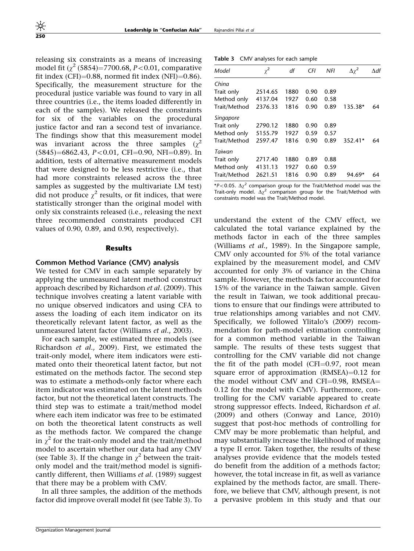releasing six constraints as a means of increasing model fit  $\left(\gamma^2\right. (5854) = 7700.68, P < 0.01$ , comparative fit index  $(CFI)=0.88$ , normed fit index  $(NFI)=0.86$ . Specifically, the measurement structure for the procedural justice variable was found to vary in all three countries (i.e., the items loaded differently in each of the samples). We released the constraints for six of the variables on the procedural justice factor and ran a second test of invariance. The findings show that this measurement model was invariant across the three samples  $(\gamma^2)$  $(5845)=6862.43, P<0.01, CFI=0.90, NFI=0.89)$ . In addition, tests of alternative measurement models that were designed to be less restrictive (i.e., that had more constraints released across the three samples as suggested by the multivariate LM test) did not produce  $\chi^2$  results, or fit indices, that were statistically stronger than the original model with only six constraints released (i.e., releasing the next three recommended constraints produced CFI values of 0.90, 0.89, and 0.90, respectively).

#### Results

#### Common Method Variance (CMV) analysis

We tested for CMV in each sample separately by applying the unmeasured latent method construct approach described by Richardson et al. (2009). This technique involves creating a latent variable with no unique observed indicators and using CFA to assess the loading of each item indicator on its theoretically relevant latent factor, as well as the unmeasured latent factor (Williams et al., 2003).

For each sample, we estimated three models (see Richardson et al., 2009). First, we estimated the trait-only model, where item indicators were estimated onto their theoretical latent factor, but not estimated on the methods factor. The second step was to estimate a methods-only factor where each item indicator was estimated on the latent methods factor, but not the theoretical latent constructs. The third step was to estimate a trait/method model where each item indicator was free to be estimated on both the theoretical latent constructs as well as the methods factor. We compared the change in  $\chi^2$  for the trait-only model and the trait/method model to ascertain whether our data had any CMV (see Table 3). If the change in  $\chi^2$  between the traitonly model and the trait/method model is significantly different, then Williams et al. (1989) suggest that there may be a problem with CMV.

In all three samples, the addition of the methods factor did improve overall model fit (see Table 3). To

| Model        | $\chi^2$ | df   | CFI  | NFI  | $\Delta\chi^2$ | $\Delta df$ |
|--------------|----------|------|------|------|----------------|-------------|
| China        |          |      |      |      |                |             |
| Trait only   | 2514.65  | 1880 | 0.90 | 0.89 |                |             |
| Method only  | 4137.04  | 1927 | 0.60 | 0.58 |                |             |
| Trait/Method | 2376.33  | 1816 | 0.90 | 0.89 | 135.38*        | 64          |
| Singapore    |          |      |      |      |                |             |
| Trait only   | 2790.12  | 1880 | 0.90 | 0.89 |                |             |
| Method only  | 5155.79  | 1927 | 0.59 | 0.57 |                |             |
| Trait/Method | 2597.47  | 1816 | 0.90 | 0.89 | 352.41*        | 64          |
| Taiwan       |          |      |      |      |                |             |
| Trait only   | 2717.40  | 1880 | 0.89 | 0.88 |                |             |
| Method only  | 4131.13  | 1927 | 0.60 | 0.59 |                |             |
| Trait/Method | 2621.51  | 1816 | 0.90 | 0.89 | 94.69*         | 64          |
|              |          |      |      |      |                |             |

\*P<0.05.  $\Delta \chi^2$  comparison group for the Trait/Method model was the Trait-only model.  $\Delta \chi^2$  comparison group for the Trait/Method with constraints model was the Trait/Method model.

understand the extent of the CMV effect, we calculated the total variance explained by the methods factor in each of the three samples (Williams et al., 1989). In the Singapore sample, CMV only accounted for 5% of the total variance explained by the measurement model, and CMV accounted for only 3% of variance in the China sample. However, the methods factor accounted for 15% of the variance in the Taiwan sample. Given the result in Taiwan, we took additional precautions to ensure that our findings were attributed to true relationships among variables and not CMV. Specifically, we followed Ylitalo's (2009) recommendation for path-model estimation controlling for a common method variable in the Taiwan sample. The results of these tests suggest that controlling for the CMV variable did not change the fit of the path model (CFI $=$ 0.97, root mean square error of approximation (RMSEA)= $0.12$  for the model without CMV and CFI $=$ 0.98, RMSEA $=$ 0.12 for the model with CMV). Furthermore, controlling for the CMV variable appeared to create strong suppressor effects. Indeed, Richardson et al. (2009) and others (Conway and Lance, 2010) suggest that post-hoc methods of controlling for CMV may be more problematic than helpful, and may substantially increase the likelihood of making a type II error. Taken together, the results of these analyses provide evidence that the models tested do benefit from the addition of a methods factor; however, the total increase in fit, as well as variance explained by the methods factor, are small. Therefore, we believe that CMV, although present, is not a pervasive problem in this study and that our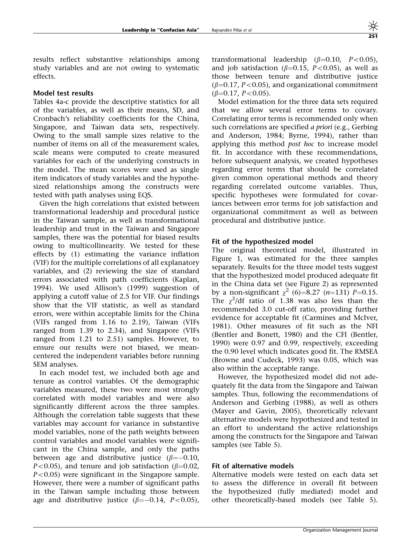results reflect substantive relationships among study variables and are not owing to systematic effects.

## Model test results

Tables 4a-c provide the descriptive statistics for all of the variables, as well as their means, SD, and Cronbach's reliability coefficients for the China, Singapore, and Taiwan data sets, respectively. Owing to the small sample sizes relative to the number of items on all of the measurement scales, scale means were computed to create measured variables for each of the underlying constructs in the model. The mean scores were used as single item indicators of study variables and the hypothesized relationships among the constructs were tested with path analyses using EQS.

Given the high correlations that existed between transformational leadership and procedural justice in the Taiwan sample, as well as transformational leadership and trust in the Taiwan and Singapore samples, there was the potential for biased results owing to multicollinearity. We tested for these effects by (1) estimating the variance inflation (VIF) for the multiple correlations of all explanatory variables, and (2) reviewing the size of standard errors associated with path coefficients (Kaplan, 1994). We used Allison's (1999) suggestion of applying a cutoff value of 2.5 for VIF. Our findings show that the VIF statistic, as well as standard errors, were within acceptable limits for the China (VIFs ranged from 1.16 to 2.19), Taiwan (VIFs ranged from 1.39 to 2.34), and Singapore (VIFs ranged from 1.21 to 2.51) samples. However, to ensure our results were not biased, we meancentered the independent variables before running SEM analyses.

In each model test, we included both age and tenure as control variables. Of the demographic variables measured, these two were most strongly correlated with model variables and were also significantly different across the three samples. Although the correlation table suggests that these variables may account for variance in substantive model variables, none of the path weights between control variables and model variables were significant in the China sample, and only the paths between age and distributive justice ( $\beta{=}{-}0.10$ ,  $P<0.05$ ), and tenure and job satisfaction ( $\beta=0.02$ ,  $P<0.05$ ) were significant in the Singapore sample. However, there were a number of significant paths in the Taiwan sample including those between age and distributive justice ( $\beta = -0.14$ ,  $P < 0.05$ ),

transformational leadership  $(\beta=0.10, P<0.05)$ , and job satisfaction ( $\beta$ =0.15, P<0.05), as well as those between tenure and distributive justice  $(\beta=0.17, P<0.05)$ , and organizational commitment  $(\beta=0.17, P<0.05)$ .

Model estimation for the three data sets required that we allow several error terms to covary. Correlating error terms is recommended only when such correlations are specified *a priori* (e.g., Gerbing and Anderson, 1984; Byrne, 1994), rather than applying this method post hoc to increase model fit. In accordance with these recommendations, before subsequent analysis, we created hypotheses regarding error terms that should be correlated given common operational methods and theory regarding correlated outcome variables. Thus, specific hypotheses were formulated for covariances between error terms for job satisfaction and organizational commitment as well as between procedural and distributive justice.

#### Fit of the hypothesized model

The original theoretical model, illustrated in Figure 1, was estimated for the three samples separately. Results for the three model tests suggest that the hypothesized model produced adequate fit in the China data set (see Figure 2) as represented by a non-significant  $\chi^2$  (6)=8.27 (n=131) P=0.15. The  $\chi^2$ /df ratio of 1.38 was also less than the recommended 3.0 cut-off ratio, providing further evidence for acceptable fit (Carmines and McIver, 1981). Other measures of fit such as the NFI (Bentler and Bonett, 1980) and the CFI (Bentler, 1990) were 0.97 and 0.99, respectively, exceeding the 0.90 level which indicates good fit. The RMSEA (Browne and Cudeck, 1993) was 0.05, which was also within the acceptable range.

However, the hypothesized model did not adequately fit the data from the Singapore and Taiwan samples. Thus, following the recommendations of Anderson and Gerbing (1988), as well as others (Mayer and Gavin, 2005), theoretically relevant alternative models were hypothesized and tested in an effort to understand the active relationships among the constructs for the Singapore and Taiwan samples (see Table 5).

## Fit of alternative models

Alternative models were tested on each data set to assess the difference in overall fit between the hypothesized (fully mediated) model and other theoretically-based models (see Table 5).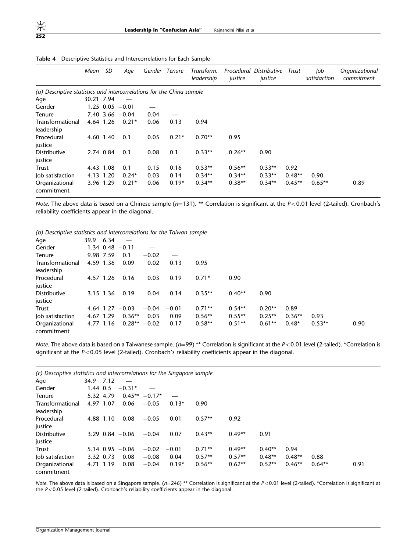|                                                                       | Mean       | SD        | Aqe                 | Gender Tenure |         | Transform.<br>leadership | Procedural<br>justice | <b>Distributive</b><br>justice | Trust    | Job<br>satisfaction | Organizational<br>commitment |
|-----------------------------------------------------------------------|------------|-----------|---------------------|---------------|---------|--------------------------|-----------------------|--------------------------------|----------|---------------------|------------------------------|
| (a) Descriptive statistics and intercorrelations for the China sample |            |           |                     |               |         |                          |                       |                                |          |                     |                              |
| Age                                                                   | 30.21 7.94 |           |                     |               |         |                          |                       |                                |          |                     |                              |
| Gender                                                                |            |           | $1.25$ 0.05 $-0.01$ |               |         |                          |                       |                                |          |                     |                              |
| Tenure                                                                |            |           | $7.40$ 3.66 $-0.04$ | 0.04          |         |                          |                       |                                |          |                     |                              |
| Transformational                                                      |            | 4.64 1.26 | $0.21*$             | 0.06          | 0.13    | 0.94                     |                       |                                |          |                     |                              |
| leadership                                                            |            |           |                     |               |         |                          |                       |                                |          |                     |                              |
| Procedural                                                            |            | 4.60 1.40 | 0.1                 | 0.05          | $0.21*$ | $0.70**$                 | 0.95                  |                                |          |                     |                              |
| justice                                                               |            |           |                     |               |         |                          |                       |                                |          |                     |                              |
| <b>Distributive</b>                                                   |            | 2.74 0.84 | 0.1                 | 0.08          | 0.1     | $0.33**$                 | $0.26**$              | 0.90                           |          |                     |                              |
| justice                                                               |            |           |                     |               |         |                          |                       |                                |          |                     |                              |
| Trust                                                                 |            | 4.43 1.08 | 0.1                 | 0.15          | 0.16    | $0.53**$                 | $0.56**$              | $0.33**$                       | 0.92     |                     |                              |
| Job satisfaction                                                      |            | 4.13 1.20 | $0.24*$             | 0.03          | 0.14    | $0.34**$                 | $0.34**$              | $0.33**$                       | $0.48**$ | 0.90                |                              |
| Organizational<br>commitment                                          |            | 3.96 1.29 | $0.21*$             | 0.06          | $0.19*$ | $0.34**$                 | $0.38**$              | $0.34**$                       | $0.45**$ | $0.65***$           | 0.89                         |

Table 4 Descriptive Statistics and Intercorrelations for Each Sample

Note. The above data is based on a Chinese sample ( $n=131$ ). \*\* Correlation is significant at the P<0.01 level (2-tailed). Cronbach's reliability coefficients appear in the diagonal.

| (b) Descriptive statistics and intercorrelations for the Taiwan sample |           |           |                     |         |         |          |          |          |          |          |      |
|------------------------------------------------------------------------|-----------|-----------|---------------------|---------|---------|----------|----------|----------|----------|----------|------|
| Age                                                                    | 39.9 6.34 |           |                     |         |         |          |          |          |          |          |      |
| Gender                                                                 |           |           | $1.34$ 0.48 $-0.11$ |         |         |          |          |          |          |          |      |
| Tenure                                                                 |           | 9.98 7.59 | 0.1                 | $-0.02$ |         |          |          |          |          |          |      |
| Transformational                                                       |           | 4.59 1.36 | 0.09                | 0.02    | 0.13    | 0.95     |          |          |          |          |      |
| leadership                                                             |           |           |                     |         |         |          |          |          |          |          |      |
| Procedural                                                             |           | 4.57 1.26 | 0.16                | 0.03    | 0.19    | $0.71*$  | 0.90     |          |          |          |      |
| justice                                                                |           |           |                     |         |         |          |          |          |          |          |      |
| <b>Distributive</b>                                                    |           | 3.15 1.36 | 0.19                | 0.04    | 0.14    | $0.35**$ | $0.40**$ | 0.90     |          |          |      |
| justice                                                                |           |           |                     |         |         |          |          |          |          |          |      |
| Trust                                                                  |           |           | 4.64 $1.27 - 0.03$  | $-0.04$ | $-0.01$ | $0.71**$ | $0.54**$ | $0.20**$ | 0.89     |          |      |
| Job satisfaction                                                       |           | 4.67 1.29 | $0.36**$            | 0.03    | 0.09    | $0.56**$ | $0.55**$ | $0.25**$ | $0.36**$ | 0.93     |      |
| Organizational<br>commitment                                           |           | 4.77 1.16 | $0.28** -0.02$      |         | 0.17    | $0.58**$ | $0.51**$ | $0.61**$ | $0.48*$  | $0.53**$ | 0.90 |

Note. The above data is based on a Taiwanese sample. ( $n=99$ ) \*\* Correlation is significant at the  $P<0.01$  level (2-tailed). \*Correlation is significant at the  $P < 0.05$  level (2-tailed). Cronbach's reliability coefficients appear in the diagonal.

| (c) Descriptive statistics and intercorrelations for the Singapore sample |      |           |                     |                 |         |          |          |          |          |          |      |
|---------------------------------------------------------------------------|------|-----------|---------------------|-----------------|---------|----------|----------|----------|----------|----------|------|
| Age                                                                       | 34.9 | 7.12      |                     |                 |         |          |          |          |          |          |      |
| Gender                                                                    |      | 1.44 0.5  | $-0.31*$            |                 |         |          |          |          |          |          |      |
| Tenure                                                                    |      | 5.32 4.79 |                     | $0.45** -0.17*$ |         |          |          |          |          |          |      |
| Transformational                                                          |      | 4.97 1.07 | 0.06                | $-0.05$         | $0.13*$ | 0.90     |          |          |          |          |      |
| leadership                                                                |      |           |                     |                 |         |          |          |          |          |          |      |
| Procedural                                                                |      | 4.88 1.10 | 0.08                | $-0.05$         | 0.01    | $0.57**$ | 0.92     |          |          |          |      |
| justice                                                                   |      |           |                     |                 |         |          |          |          |          |          |      |
| <b>Distributive</b>                                                       |      |           | $3.29$ 0.84 $-0.06$ | $-0.04$         | 0.07    | $0.43**$ | $0.49**$ | 0.91     |          |          |      |
| justice                                                                   |      |           |                     |                 |         |          |          |          |          |          |      |
| Trust                                                                     |      |           | $5.14$ 0.95 $-0.06$ | $-0.02$         | $-0.01$ | $0.71**$ | $0.49**$ | $0.40**$ | 0.94     |          |      |
| Job satisfaction                                                          |      | 3.32 0.73 | 0.08                | $-0.08$         | 0.04    | $0.57**$ | $0.57**$ | $0.48**$ | $0.48**$ | 0.88     |      |
| Organizational                                                            |      | 4.71 1.19 | 0.08                | $-0.04$         | $0.19*$ | $0.56**$ | $0.62**$ | $0.52**$ | $0.46**$ | $0.64**$ | 0.91 |
| commitment                                                                |      |           |                     |                 |         |          |          |          |          |          |      |

Note. The above data is based on a Singapore sample. ( $n=246$ ) \*\* Correlation is significant at the  $P< 0.01$  level (2-tailed). \*Correlation is significant at the  $P<0.05$  level (2-tailed). Cronbach's reliability coefficients appear in the diagonal.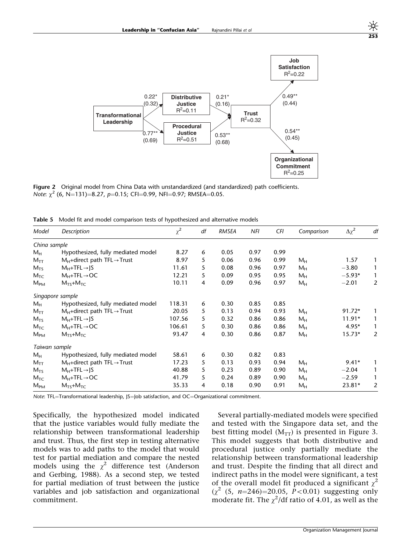

Figure 2 Original model from China Data with unstandardized (and standardized) path coefficients. Note:  $\chi^2$  (6, N=131)=8.27, p=0.15; CFI=0.99, NFI=0.97; RMSEA=0.05.

Table 5 Model fit and model comparison tests of hypothesized and alternative models

| Model                      | Description                                | $\chi^2$ | df | RMSEA | NFI  | CFI  | Comparison     | $\Delta \chi^2$ | df |
|----------------------------|--------------------------------------------|----------|----|-------|------|------|----------------|-----------------|----|
| China sample               |                                            |          |    |       |      |      |                |                 |    |
| $M_H$                      | Hypothesized, fully mediated model         | 8.27     | 6  | 0.05  | 0.97 | 0.99 |                |                 |    |
| $M_{TT}$                   | $M_H$ +direct path TFL $\rightarrow$ Trust | 8.97     | 5  | 0.06  | 0.96 | 0.99 | $M_H$          | 1.57            | 1  |
| $M_{TS}$                   | $M_H+TFL \rightarrow S$                    | 11.61    | 5  | 0.08  | 0.96 | 0.97 | $M_H$          | $-3.80$         | 1  |
| $M_{TC}$                   | $M_H+TFL \rightarrow OC$                   | 12.21    | 5  | 0.09  | 0.95 | 0.95 | $M_H$          | $-5.93*$        | 1  |
| $M_{PM}$                   | $M_{TS}+M_{TC}$                            | 10.11    | 4  | 0.09  | 0.96 | 0.97 | $M_H$          | $-2.01$         | 2  |
|                            | Singapore sample                           |          |    |       |      |      |                |                 |    |
| $M_H$                      | Hypothesized, fully mediated model         | 118.31   | 6  | 0.30  | 0.85 | 0.85 |                |                 |    |
| $M_{TT}$                   | $M_H$ +direct path TFL $\rightarrow$ Trust | 20.05    | 5  | 0.13  | 0.94 | 0.93 | $M_H$          | $91.72*$        | 1  |
| $M_{TS}$                   | $M_H+TFL \rightarrow S$                    | 107.56   | 5  | 0.32  | 0.86 | 0.86 | $M_H$          | $11.91*$        | 1  |
| $M_{TC}$                   | $M_H+TFL \rightarrow OC$                   | 106.61   | 5  | 0.30  | 0.86 | 0.86 | $M_H$          | $4.95*$         | 1  |
| $M_{PM}$                   | $M_{TS}+M_{TC}$                            | 93.47    | 4  | 0.30  | 0.86 | 0.87 | $M_H$          | $15.73*$        | 2  |
| Taiwan sample              |                                            |          |    |       |      |      |                |                 |    |
| $M_H$                      | Hypothesized, fully mediated model         | 58.61    | 6  | 0.30  | 0.82 | 0.83 |                |                 |    |
| $\mathsf{M}_{\mathsf{TT}}$ | $M_H$ +direct path TFL $\rightarrow$ Trust | 17.23    | 5  | 0.13  | 0.93 | 0.94 | $M_H$          | $9.41*$         | 1  |
| $M_{TS}$                   | $M_H+TFL \rightarrow S$                    | 40.88    | 5  | 0.23  | 0.89 | 0.90 | $M_H$          | $-2.04$         | 1  |
| $M_{TC}$                   | $M_H+TFL \rightarrow OC$                   | 41.79    | 5  | 0.24  | 0.89 | 0.90 | $M_H$          | $-2.59$         | 1  |
| $M_{PM}$                   | $M_{TS}+M_{TC}$                            | 35.33    | 4  | 0.18  | 0.90 | 0.91 | М <sub>н</sub> | $23.81*$        | 2  |

Note: TFL=Transformational leadership, JS=Job satisfaction, and OC=Organizational commitment.

Specifically, the hypothesized model indicated that the justice variables would fully mediate the relationship between transformational leadership and trust. Thus, the first step in testing alternative models was to add paths to the model that would test for partial mediation and compare the nested models using the  $\chi^2$  difference test (Anderson and Gerbing, 1988). As a second step, we tested for partial mediation of trust between the justice variables and job satisfaction and organizational commitment.

Several partially-mediated models were specified and tested with the Singapore data set, and the best fitting model  $(M_{TT})$  is presented in Figure 3. This model suggests that both distributive and procedural justice only partially mediate the relationship between transformational leadership and trust. Despite the finding that all direct and indirect paths in the model were significant, a test of the overall model fit produced a significant  $\chi^2$  $(\chi^2)(5, n=246)=20.05, P<0.01)$  suggesting only moderate fit. The  $\chi^2$ /df ratio of 4.01, as well as the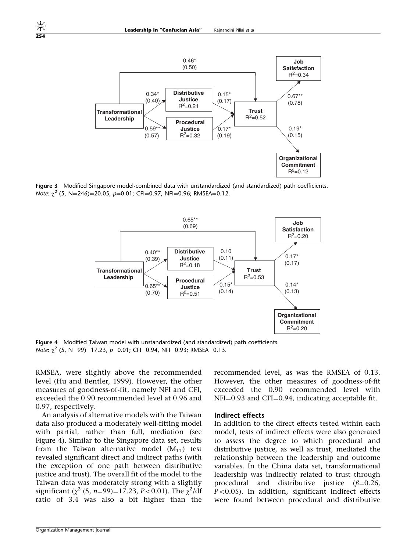

Figure 3 Modified Singapore model-combined data with unstandardized (and standardized) path coefficients. Note:  $\chi^2$  (5, N=246)=20.05, p=0.01; CFI=0.97, NFI=0.96; RMSEA=0.12.



Figure 4 Modified Taiwan model with unstandardized (and standardized) path coefficients. Note:  $\chi^2$  (5, N=99)=17.23, p=0.01; CFI=0.94, NFI=0.93; RMSEA=0.13.

RMSEA, were slightly above the recommended level (Hu and Bentler, 1999). However, the other measures of goodness-of-fit, namely NFI and CFI, exceeded the 0.90 recommended level at 0.96 and 0.97, respectively.

An analysis of alternative models with the Taiwan data also produced a moderately well-fitting model with partial, rather than full, mediation (see Figure 4). Similar to the Singapore data set, results from the Taiwan alternative model  $(M_{TT})$  test revealed significant direct and indirect paths (with the exception of one path between distributive justice and trust). The overall fit of the model to the Taiwan data was moderately strong with a slightly significant ( $\chi^2$  (5, n=99)=17.23, P<0.01). The  $\chi^2$ /df ratio of 3.4 was also a bit higher than the recommended level, as was the RMSEA of 0.13. However, the other measures of goodness-of-fit exceeded the 0.90 recommended level with  $NFI=0.93$  and  $CFI=0.94$ , indicating acceptable fit.

#### Indirect effects

In addition to the direct effects tested within each model, tests of indirect effects were also generated to assess the degree to which procedural and distributive justice, as well as trust, mediated the relationship between the leadership and outcome variables. In the China data set, transformational leadership was indirectly related to trust through procedural and distributive justice  $(\beta=0.26,$  $P < 0.05$ ). In addition, significant indirect effects were found between procedural and distributive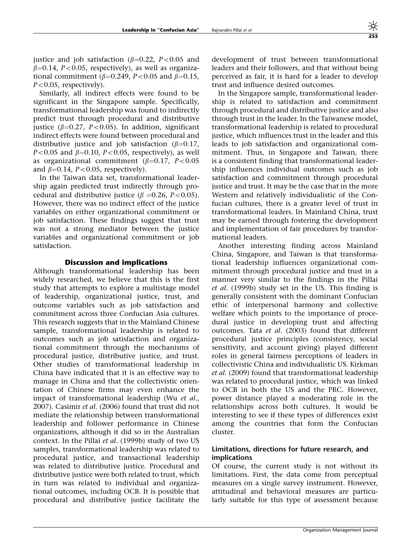justice and job satisfaction ( $\beta$ =0.22, P<0.05 and  $\beta$ =0.14, P<0.05, respectively), as well as organizational commitment ( $\beta$ =0.249, P<0.05 and  $\beta$ =0.15,  $P<0.05$ , respectively).

Similarly, all indirect effects were found to be significant in the Singapore sample. Specifically, transformational leadership was found to indirectly predict trust through procedural and distributive justice ( $\beta$ =0.27, P<0.05). In addition, significant indirect effects were found between procedural and distributive justice and job satisfaction ( $\beta$ =0.17,  $P<0.05$  and  $\beta=0.10$ ,  $P<0.05$ , respectively), as well as organizational commitment ( $\beta$ =0.17, P<0.05 and  $\beta$ =0.14, P<0.05, respectively).

In the Taiwan data set, transformational leadership again predicted trust indirectly through procedural and distributive justice ( $\beta$  =0.26, P<0.05). However, there was no indirect effect of the justice variables on either organizational commitment or job satisfaction. These findings suggest that trust was not a strong mediator between the justice variables and organizational commitment or job satisfaction.

#### Discussion and implications

Although transformational leadership has been widely researched, we believe that this is the first study that attempts to explore a multistage model of leadership, organizational justice, trust, and outcome variables such as job satisfaction and commitment across three Confucian Asia cultures. This research suggests that in the Mainland Chinese sample, transformational leadership is related to outcomes such as job satisfaction and organizational commitment through the mechanisms of procedural justice, distributive justice, and trust. Other studies of transformational leadership in China have indicated that it is an effective way to manage in China and that the collectivistic orientation of Chinese firms may even enhance the impact of transformational leadership (Wu et al., 2007). Casimir et al. (2006) found that trust did not mediate the relationship between transformational leadership and follower performance in Chinese organizations, although it did so in the Australian context. In the Pillai et al. (1999b) study of two US samples, transformational leadership was related to procedural justice, and transactional leadership was related to distributive justice. Procedural and distributive justice were both related to trust, which in turn was related to individual and organizational outcomes, including OCB. It is possible that procedural and distributive justice facilitate the

development of trust between transformational leaders and their followers, and that without being perceived as fair, it is hard for a leader to develop trust and influence desired outcomes.

In the Singapore sample, transformational leadership is related to satisfaction and commitment through procedural and distributive justice and also through trust in the leader. In the Taiwanese model, transformational leadership is related to procedural justice, which influences trust in the leader and this leads to job satisfaction and organizational commitment. Thus, in Singapore and Taiwan, there is a consistent finding that transformational leadership influences individual outcomes such as job satisfaction and commitment through procedural justice and trust. It may be the case that in the more Western and relatively individualistic of the Confucian cultures, there is a greater level of trust in transformational leaders. In Mainland China, trust may be earned through fostering the development and implementation of fair procedures by transformational leaders.

Another interesting finding across Mainland China, Singapore, and Taiwan is that transformational leadership influences organizational commitment through procedural justice and trust in a manner very similar to the findings in the Pillai et al. (1999b) study set in the US. This finding is generally consistent with the dominant Confucian ethic of interpersonal harmony and collective welfare which points to the importance of procedural justice in developing trust and affecting outcomes. Tata et al. (2003) found that different procedural justice principles (consistency, social sensitivity, and account giving) played different roles in general fairness perceptions of leaders in collectivistic China and individualistic US. Kirkman et al. (2009) found that transformational leadership was related to procedural justice, which was linked to OCB in both the US and the PRC. However, power distance played a moderating role in the relationships across both cultures. It would be interesting to see if these types of differences exist among the countries that form the Confucian cluster.

#### Limitations, directions for future research, and implications

Of course, the current study is not without its limitations. First, the data come from perceptual measures on a single survey instrument. However, attitudinal and behavioral measures are particularly suitable for this type of assessment because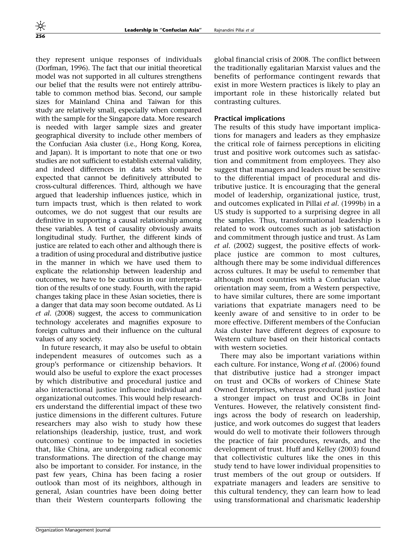they represent unique responses of individuals (Dorfman, 1996). The fact that our initial theoretical model was not supported in all cultures strengthens our belief that the results were not entirely attributable to common method bias. Second, our sample sizes for Mainland China and Taiwan for this study are relatively small, especially when compared with the sample for the Singapore data. More research is needed with larger sample sizes and greater geographical diversity to include other members of the Confucian Asia cluster (i.e., Hong Kong, Korea, and Japan). It is important to note that one or two studies are not sufficient to establish external validity, and indeed differences in data sets should be expected that cannot be definitively attributed to cross-cultural differences. Third, although we have argued that leadership influences justice, which in turn impacts trust, which is then related to work outcomes, we do not suggest that our results are definitive in supporting a causal relationship among these variables. A test of causality obviously awaits longitudinal study. Further, the different kinds of justice are related to each other and although there is a tradition of using procedural and distributive justice in the manner in which we have used them to explicate the relationship between leadership and outcomes, we have to be cautious in our interpretation of the results of one study. Fourth, with the rapid changes taking place in these Asian societies, there is a danger that data may soon become outdated. As Li et al. (2008) suggest, the access to communication technology accelerates and magnifies exposure to foreign cultures and their influence on the cultural values of any society.

In future research, it may also be useful to obtain independent measures of outcomes such as a group's performance or citizenship behaviors. It would also be useful to explore the exact processes by which distributive and procedural justice and also interactional justice influence individual and organizational outcomes. This would help researchers understand the differential impact of these two justice dimensions in the different cultures. Future researchers may also wish to study how these relationships (leadership, justice, trust, and work outcomes) continue to be impacted in societies that, like China, are undergoing radical economic transformations. The direction of the change may also be important to consider. For instance, in the past few years, China has been facing a rosier outlook than most of its neighbors, although in general, Asian countries have been doing better than their Western counterparts following the global financial crisis of 2008. The conflict between the traditionally egalitarian Marxist values and the benefits of performance contingent rewards that exist in more Western practices is likely to play an important role in these historically related but contrasting cultures.

## Practical implications

The results of this study have important implications for managers and leaders as they emphasize the critical role of fairness perceptions in eliciting trust and positive work outcomes such as satisfaction and commitment from employees. They also suggest that managers and leaders must be sensitive to the differential impact of procedural and distributive justice. It is encouraging that the general model of leadership, organizational justice, trust, and outcomes explicated in Pillai et al. (1999b) in a US study is supported to a surprising degree in all the samples. Thus, transformational leadership is related to work outcomes such as job satisfaction and commitment through justice and trust. As Lam et al. (2002) suggest, the positive effects of workplace justice are common to most cultures, although there may be some individual differences across cultures. It may be useful to remember that although most countries with a Confucian value orientation may seem, from a Western perspective, to have similar cultures, there are some important variations that expatriate managers need to be keenly aware of and sensitive to in order to be more effective. Different members of the Confucian Asia cluster have different degrees of exposure to Western culture based on their historical contacts with western societies.

There may also be important variations within each culture. For instance, Wong et al. (2006) found that distributive justice had a stronger impact on trust and OCBs of workers of Chinese State Owned Enterprises, whereas procedural justice had a stronger impact on trust and OCBs in Joint Ventures. However, the relatively consistent findings across the body of research on leadership, justice, and work outcomes do suggest that leaders would do well to motivate their followers through the practice of fair procedures, rewards, and the development of trust. Huff and Kelley (2003) found that collectivistic cultures like the ones in this study tend to have lower individual propensities to trust members of the out group or outsiders. If expatriate managers and leaders are sensitive to this cultural tendency, they can learn how to lead using transformational and charismatic leadership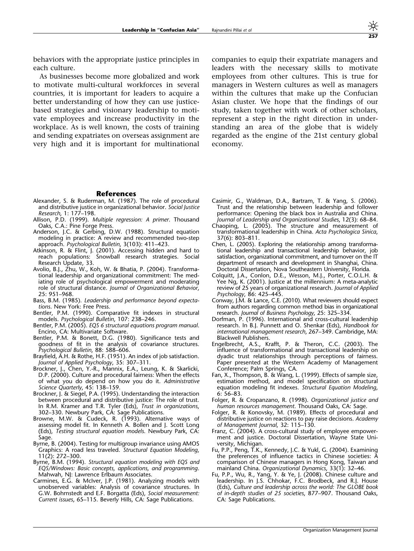behaviors with the appropriate justice principles in each culture.

As businesses become more globalized and work to motivate multi-cultural workforces in several countries, it is important for leaders to acquire a better understanding of how they can use justicebased strategies and visionary leadership to motivate employees and increase productivity in the workplace. As is well known, the costs of training and sending expatriates on overseas assignment are very high and it is important for multinational companies to equip their expatriate managers and leaders with the necessary skills to motivate employees from other cultures. This is true for managers in Western cultures as well as managers within the cultures that make up the Confucian Asian cluster. We hope that the findings of our study, taken together with work of other scholars, represent a step in the right direction in understanding an area of the globe that is widely regarded as the engine of the 21st century global economy.

#### References

- Alexander, S. & Ruderman, M. (1987). The role of procedural and distributive justice in organizational behavior. Social Justice Research, 1: 177–198.
- Allison, P.D. (1999). Multiple regression: A primer. Thousand Oaks, C.A.: Pine Forge Press.
- Anderson, J.C. & Gerbing, D.W. (1988). Structural equation modeling in practice: A review and recommended two-step approach. Psychological Bulletin, 3(103): 411–423.
- Atkinson, R. & Flint, J. (2001). Accessing hidden and hard to reach populations: Snowball research strategies. Social Research Update, 33.
- Avolio, B.J., Zhu, W., Koh, W. & Bhatia, P. (2004). Transformational leadership and organizational commitment: The mediating role of psychological empowerment and moderating role of structural distance. Journal of Organizational Behavior, 25: 951–968.
- Bass, B.M. (1985). Leadership and performance beyond expectations. New York: Free Press.
- Bentler, P.M. (1990). Comparative fit indexes in structural models. Psychological Bulletin, 107: 238–246.
- Bentler, P.M. (2005). EQS 6 structural equations program manual. Encino, CA: Multivariate Software.
- Bentler, P.M. & Bonett, D.G. (1980). Significance tests and goodness of fit in the analysis of covariance structures. Psychological Bulletin, 88: 588–606.
- Brayfield, A.H. & Rothe, H.F. (1951). An index of job satisfaction. Journal of Applied Psychology, 35: 307–311.
- Brockner, J., Chen, Y.-R., Mannix, E.A., Leung, K. & Skarlicki, D.P. (2000). Culture and procedural fairness: When the effects of what you do depend on how you do it. Administrative Science Quarterly, 45: 138-159.
- Brockner, J. & Siegel, P.A. (1995). Understanding the interaction between procedural and distributive justice: The role of trust. In R.M. Kramer and T.R. Tyler (Eds), Trust in organizations, 302–330. Newbury Park, CA: Sage Publications.
- Browne, M.W. & Cudeck, R. (1993). Alternative ways of assessing model fit. In Kenneth A. Bollen and J. Scott Long (Eds), Testing structural equation models. Newbury Park, CA: Sage.
- Byrne, B. (2004). Testing for multigroup invariance using AMOS Graphics: A road less traveled. Structural Equation Modeling, 11(2): 272–300.
- Byrne, B.M. (1994). Structural equation modeling with EQS and EQS/Windows: Basic concepts, applications, and programming. Mahwah, NJ: Lawrence Erlbaum Associates.
- Carmines, E.G. & McIver, J.P. (1981). Analyzing models with unobserved variables: Analysis of covariance structures. In G.W. Bohrnstedt and E.F. Borgatta (Eds), Social measurement: Current issues, 65–115. Beverly Hills, CA: Sage Publications.
- Casimir, G., Waldman, D.A., Bartram, T. & Yang, S. (2006). Trust and the relationship between leadership and follower performance: Opening the black box in Australia and China. Journal of Leadership and Organizational Studies, 12(3): 68–84.
- Chaoping, L. (2005). The structure and measurement of transformational leadership in China. Acta Psychologica Sinica, 37(6): 803–811.
- Chen, L. (2005). Exploring the relationship among transformational leadership and transactional leadership behavior, job satisfaction, organizational commitment, and turnover on the IT department of research and development in Shanghai, China. Doctoral Dissertation, Nova Southeastern University, Florida.
- Colquitt, J.A., Conlon, D.E., Wesson, M.J., Porter, C.O.L.H. & Yee Ng, K. (2001). Justice at the millennium: A meta-analytic review of 25 years of organizational research. Journal of Applied Psychology, 86: 425–445.
- Conway, J.M. & Lance, C.E. (2010). What reviewers should expect from authors regarding common method bias in organizational research. Journal of Business Psychology, 25: 325–334.
- Dorfman, P. (1996). International and cross-cultural leadership research. In B.J. Punnett and O. Shenkar (Eds), Handbook for international management research, 267–349. Cambridge, MA: Blackwell Publishers.
- Engelbrecht, A.S., Krafft, P. & Theron, C.C. (2003). The influence of transformational and transactional leadership on dyadic trust relationships through perceptions of fairness. Paper presented at the Western Academy of Management Conference; Palm Springs, CA.
- Fan, X., Thompson, B. & Wang, L. (1999). Effects of sample size, estimation method, and model specification on structural equation modeling fit indexes. Structural Equation Modeling, 6: 56–83.
- Folger, R. & Cropanzano, R. (1998). Organizational justice and human resources management. Thousand Oaks, CA: Sage.
- Folger, R. & Konovsky, M. (1989). Effects of procedural and distributive justice on reactions to pay raise decisions. Academy of Management Journal, 32: 115–130.
- Franz, C. (2004). A cross-cultural study of employee empowerment and justice. Doctoral Dissertation, Wayne State University, Michigan.
- Fu, P.P., Peng, T.K., Kennedy, J.C. & Yukl, G. (2004). Examining the preferences of influence tactics in Chinese societies: A comparison of Chinese managers in Hong Kong, Taiwan and mainland China. Organizational Dynamics, 33(1): 32-46.
- Fu, P.P., Wu, R., Yang, Y. & Ye, J. (2008). Chinese culture and leadership. In J.S. Chhokar, F.C. Brodbeck, and R.J. House (Eds), Culture and leadership across the world: The GLOBE book of in-depth studies of 25 societies, 877–907. Thousand Oaks, CA: Sage Publications.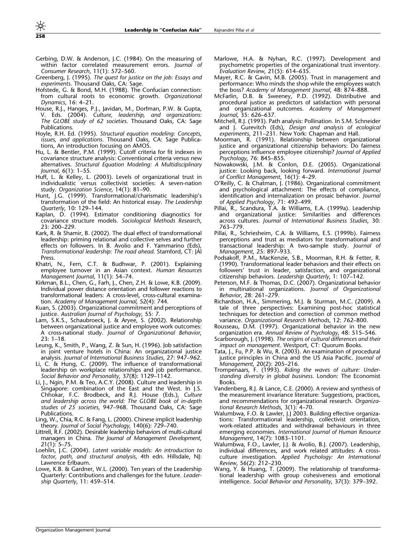- Gerbing, D.W. & Anderson, J.C. (1984). On the measuring of within factor correlated measurement errors. Journal of Consumer Research, 11(1): 572–560.
- Greenberg, J. (1995). The quest for justice on the job: Essays and experiments. Thousand Oaks, CA: Sage.
- Hofstede, G. & Bond, M.H. (1988). The Confucian connection: from cultural roots to economic growth. Organizational Dynamics, 16: 4–21.
- House, R.J., Hanges, P.J., Javidan, M., Dorfman, P.W. & Gupta, V. Eds. (2004). Culture, leadership, and organizations: The GLOBE study of 62 societies. Thousand Oaks, CA: Sage **Publications**
- Hoyle, R.H. Ed. (1995). Structural equation modeling: Concepts, issues, and applications. Thousand Oaks, CA: Sage Publications, An introduction focusing on AMOS.
- Hu, L. & Bentler, P.M. (1999). Cutoff criteria for fit indexes in covariance structure analysis: Conventional criteria versus new alternatives. Structural Equation Modeling: A Multidisciplinary Journal, 6(1): 1–55.
- Huff, L. & Kelley, L. (2003). Levels of organizational trust in individualistic versus collectivist societies: A seven-nation study. Organization Science, 14(1): 81–90.
- Hunt, J.G. (1999). Transformational/charismatic leadership's transformation of the field: An historical essay. The Leadership Quarterly, 10: 129–144.
- Kaplan, D. (1994). Estimator conditioning diagnostics for covariance structure models. Sociological Methods Research, 23: 200–229.
- Kark, R. & Shamir, B. (2002). The dual effect of transformational leadership: priming relational and collective selves and further effects on followers. In B. Avolio and F. Yammarino (Eds), Transformational leadership: The road ahead. Stamford, CT: JAI Press.
- Khatri, N., Fern, C.T. & Budhwar, P. (2001). Explaining employee turnover in an Asian context. Human Resources Management Journal, 11(1): 54–74.
- Kirkman, B.L., Chen, G., Farh, J., Chen, Z.H. & Lowe, K.B. (2009). Individual power distance orientation and follower reactions to transformational leaders: A cross-level, cross-cultural examination. Academy of Management Journal, 52(4): 744.
- Kuan, S. (2003). Organizational commitment and perceptions of justice. Australian Journal of Psychology, 55: 7
- Lam, S.K.S., Schaubroeck, J. & Aryee, S. (2002). Relationship between organizational justice and employee work outcomes: A cross-national study. Journal of Organizational Behavior, 23: 1–18.
- Leung, K., Smith, P., Wang, Z. & Sun, H. (1996). Job satisfaction in joint venture hotels in China: An organizational justice analysis. Journal of International Business Studies, 27: 947–962.
- Li, C. & Hung, C. (2009). The influence of transformational leadership on workplace relationships and job performance. Social Behavior and Personality, 37(8): 1129–1142.
- Li, J., Ngin, P.M. & Teo, A.C.Y. (2008). Culture and leadership in Singapore: combination of the East and the West. In J.S. Chhokar, F.C. Brodbeck, and R.J. House (Eds.), Culture and leadership across the world: The GLOBE book of in-depth studies of 25 societies, 947–968. Thousand Oaks, CA: Sage Publications.
- Ling, W., Chia, R.C. & Fang, L. (2000). Chinese implicit leadership theory. Journal of Social Psychology, 140(6): 729–740.
- Littrell, R.F. (2002). Desirable leadership behaviors of multi-cultural managers in China. The Journal of Management Development, 21(1): 5–75.
- Loehlin, J.C. (2004). Latent variable models: An introduction to factor, path, and structural analysis, 4th edn. Hillsdale, NJ: Lawrence Erlbaum.
- Lowe, K.B. & Gardner, W.L. (2000). Ten years of the Leadership Quarterly: Contributions and challenges for the future. Leadership Quarterly, 11: 459–514.
- Marlowe, H.A. & Nyhan, R.C. (1997). Development and psychometric properties of the organizational trust inventory. Evaluation Review, 21(5): 614–635.
- Mayer, R.C. & Gavin, M.B. (2005). Trust in management and performance: Who minds the shop while the employees watch the boss? Academy of Management Journal, 48: 874–888.
- McFarlin, D.B. & Sweeney, P.D. (1992). Distributive and procedural justice as predictors of satisfaction with personal and organizational outcomes. Academy of Management Journal, 35: 626–637.
- Mitchell, R.J. (1993). Path analysis: Pollination. In S.M. Schneider and J. Gurevitch (Eds), Design and analysis of ecological experiments, 211–231. New York: Chapman and Hall.
- Moorman, R. (1991). Relationship between organizational justice and organizational citizenship behaviors: Do fairness perceptions influence employee citizenship? Journal of Applied Psychology, 76: 845–855.
- Nowakowski, J.M. & Conlon, D.E. (2005). Organizational justice: Looking back, looking forward. International Journal of Conflict Management, 16(1): 4–29.
- O'Reilly, C. & Chatman, J. (1986). Organizational commitment and psychological attachment: The effects of compliance, identification and internalization on prosaic behavior. Journal of Applied Psychology, 71: 492–499.
- Pillai, R., Scandura, T.A. & Williams, E.A. (1999a). Leadership and organizational justice: Similarities and differences across cultures. Journal of International Business Studies, 30: 763–779.
- Pillai, R., Schriesheim, C.A. & Williams, E.S. (1999b). Fairness perceptions and trust as mediators for transformational and transactional leadership: A two-sample study. Journal of Management, 25: 897–933.
- Podsakoff, P.M., MacKenzie, S.B., Moorman, R.H. & Fetter, R. (1990). Transformational leader behaviors and their effects on followers' trust in leader, satisfaction, and organizational citizenship behaviors. Leadership Quarterly, 1: 107–142.
- Peterson, M.F. & Thomas, D.C. (2007). Organizational behavior multinational organizations. Journal of Organizational Behavior, 28: 261–279.
- Richardson, H.A., Simmering, M.J. & Sturman, M.C. (2009). A tale of three perspectives: Examining post-hoc statistical techniques for detection and correction of common method variance. Organizational Research Methods, 12: 762–800.
- Rousseau, D.M. (1997). Organizational behavior in the new organization era. Annual Review of Psychology, 48: 515–546.
- Scarborough, J. (1998). The origins of cultural differences and their impact on management. Westport, CT: Quorum Books.
- Tata, J., Fu, P.P. & Wu, R. (2003). An examination of procedural justice principles in China and the US Asia Pacific. Journal of Management, 20(2): 205–216.
- Trompenaars, F. (1993). Riding the waves of culture: Understanding diversity in global business. London: The Economist Books.
- Vandenberg, R.J. & Lance, C.E. (2000). A review and synthesis of the measurement invariance literature: Suggestions, practices, and recommendations for organizational research. Organizational Research Methods, 3(1): 4–70.
- Walumbwa, F.O. & Lawler, J.J 2003. Building effective organizations: Transformational leadership, collectivist orientation, work-related attitudes and withdrawal behaviours in three emerging economies. International Journal of Human Resource Management, 14(7): 1083–1101.
- Walumbwa, F.O., Lawler, J.J. & Avolio, B.J. (2007). Leadership, individual differences, and work related attitudes: A crossculture investigation. Applied Psychology: An International Review, 56(2): 212–230.
- Wang, Y. & Huang, T. (2009). The relationship of transformational leadership with group cohesiveness and emotional intelligence. Social Behavior and Personality, 37(3): 379–392.